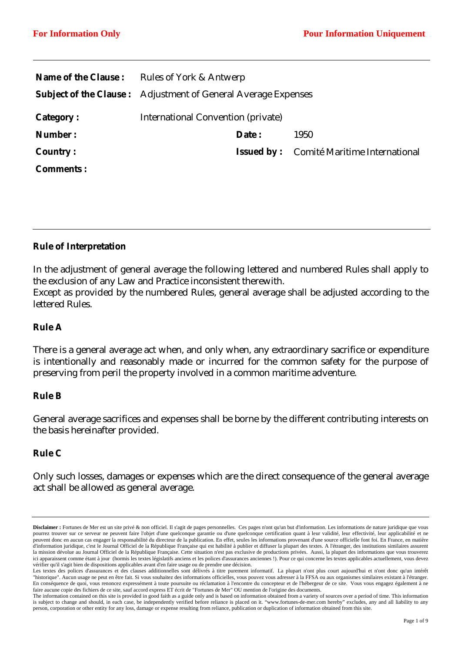| <b>Name of the Clause :</b> | <b>Rules of York &amp; Antwerp</b>                                   |                                                 |
|-----------------------------|----------------------------------------------------------------------|-------------------------------------------------|
|                             | <b>Subject of the Clause:</b> Adjustment of General Average Expenses |                                                 |
| <b>Category:</b>            | <b>International Convention (private)</b>                            |                                                 |
| Number:                     | Date :                                                               | 1950                                            |
| <b>Country:</b>             |                                                                      | <b>Issued by:</b> Comité Maritime International |
| <b>Comments:</b>            |                                                                      |                                                 |

#### **Rule of Interpretation**

In the adjustment of general average the following lettered and numbered Rules shall apply to the exclusion of any Law and Practice inconsistent therewith.

Except as provided by the numbered Rules, general average shall be adjusted according to the lettered Rules.

#### **Rule A**

There is a general average act when, and only when, any extraordinary sacrifice or expenditure is intentionally and reasonably made or incurred for the common safety for the purpose of preserving from peril the property involved in a common maritime adventure.

#### **Rule B**

General average sacrifices and expenses shall be borne by the different contributing interests on the basis hereinafter provided.

#### **Rule C**

Only such losses, damages or expenses which are the direct consequence of the general average act shall be allowed as general average.

**Disclaimer :** Fortunes de Mer est un site privé & non officiel. Il s'agit de pages personnelles. Ces pages n'ont qu'un but d'information. Les informations de nature juridique que vous pourrez trouver sur ce serveur ne peuvent faire l'objet d'une quelconque garantie ou d'une quelconque certification quant à leur validité, leur effectivité, leur applicabilité et ne peuvent donc en aucun cas engager la responsabilité du directeur de la publication. En effet, seules les informations provenant d'une source officielle font foi. En France, en matière d'information juridique, c'est le Journal Officiel de la République Française qui est habilité à publier et diffuser la plupart des textes. A l'étranger, des institutions similaires assurent la mission dévolue au Journal Officiel de la République Française. Cette situation n'est pas exclusive de productions privées. Aussi, la plupart des informations que vous trouverez ici apparaissent comme étant à jour (hormis les textes législatifs anciens et les polices d'assurances anciennes !). Pour ce qui concerne les textes applicables actuellement, vous devez vérifier qu'il s'agit bien de dispositions applicables avant d'en faire usage ou de prendre une décision.

Les textes des polices d'assurances et des clauses additionnelles sont délivrés à titre purement informatif. La plupart n'ont plus court aujourd'hui et n'ont donc qu'un intérêt "historique". Aucun usage ne peut en être fait. Si vous souhaitez des informations officielles, vous pouvez vous adresser à la FFSA ou aux organismes similaires existant à l'étranger. En conséquence de quoi, vous renoncez expressément à toute poursuite ou réclamation à l'encontre du concepteur et de l'hébergeur de ce site. Vous vous engagez également à ne faire aucune copie des fichiers de ce site, sauf accord express ET écrit de "Fortunes de Mer" OU mention de l'origine des documents.

The information contained on this site is provided in good faith as a guide only and is based on information obtained from a variety of sources over a period of time. This information is subject to change and should, in each case, be independently verified before reliance is placed on it. "www.fortunes-de-mer.com hereby" excludes, any and all liability to any person, corporation or other entity for any loss, damage or expense resulting from reliance, publication or duplication of information obtained from this site.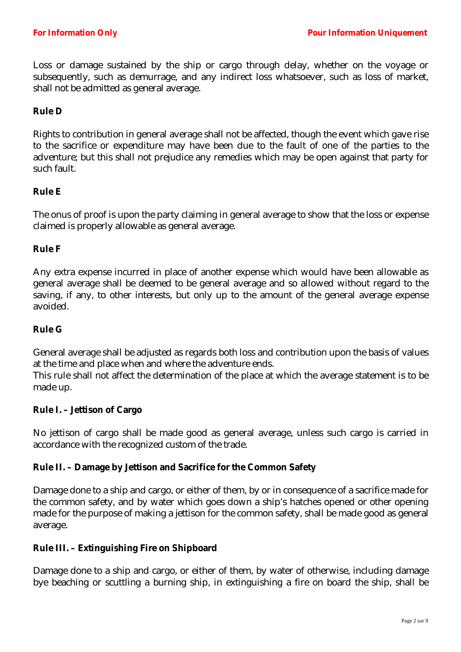Loss or damage sustained by the ship or cargo through delay, whether on the voyage or subsequently, such as demurrage, and any indirect loss whatsoever, such as loss of market, shall not be admitted as general average.

# **Rule D**

Rights to contribution in general average shall not be affected, though the event which gave rise to the sacrifice or expenditure may have been due to the fault of one of the parties to the adventure; but this shall not prejudice any remedies which may be open against that party for such fault.

# **Rule E**

The onus of proof is upon the party claiming in general average to show that the loss or expense claimed is properly allowable as general average.

## **Rule F**

Any extra expense incurred in place of another expense which would have been allowable as general average shall be deemed to be general average and so allowed without regard to the saving, if any, to other interests, but only up to the amount of the general average expense avoided.

## **Rule G**

General average shall be adjusted as regards both loss and contribution upon the basis of values at the time and place when and where the adventure ends.

This rule shall not affect the determination of the place at which the average statement is to be made up.

## **Rule I. – Jettison of Cargo**

No jettison of cargo shall be made good as general average, unless such cargo is carried in accordance with the recognized custom of the trade.

## **Rule II. – Damage by Jettison and Sacrifice for the Common Safety**

Damage done to a ship and cargo, or either of them, by or in consequence of a sacrifice made for the common safety, and by water which goes down a ship's hatches opened or other opening made for the purpose of making a jettison for the common safety, shall be made good as general average.

## **Rule III. – Extinguishing Fire on Shipboard**

Damage done to a ship and cargo, or either of them, by water of otherwise, including damage bye beaching or scuttling a burning ship, in extinguishing a fire on board the ship, shall be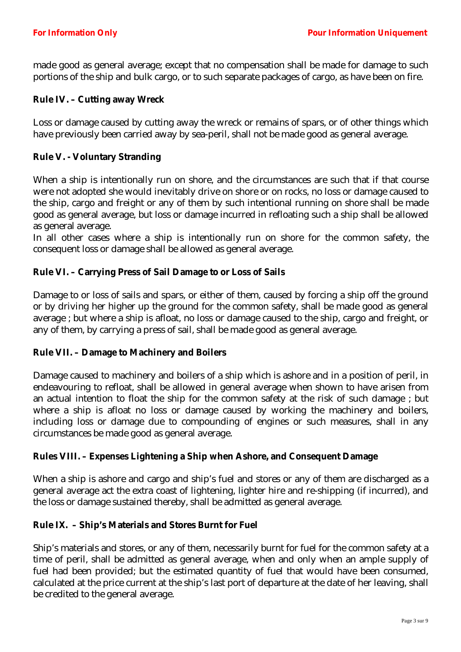made good as general average; except that no compensation shall be made for damage to such portions of the ship and bulk cargo, or to such separate packages of cargo, as have been on fire.

#### **Rule IV. – Cutting away Wreck**

Loss or damage caused by cutting away the wreck or remains of spars, or of other things which have previously been carried away by sea-peril, shall not be made good as general average.

#### **Rule V. - Voluntary Stranding**

When a ship is intentionally run on shore, and the circumstances are such that if that course were not adopted she would inevitably drive on shore or on rocks, no loss or damage caused to the ship, cargo and freight or any of them by such intentional running on shore shall be made good as general average, but loss or damage incurred in refloating such a ship shall be allowed as general average.

In all other cases where a ship is intentionally run on shore for the common safety, the consequent loss or damage shall be allowed as general average.

#### **Rule VI. – Carrying Press of Sail Damage to or Loss of Sails**

Damage to or loss of sails and spars, or either of them, caused by forcing a ship off the ground or by driving her higher up the ground for the common safety, shall be made good as general average ; but where a ship is afloat, no loss or damage caused to the ship, cargo and freight, or any of them, by carrying a press of sail, shall be made good as general average.

#### **Rule VII. – Damage to Machinery and Boilers**

Damage caused to machinery and boilers of a ship which is ashore and in a position of peril, in endeavouring to refloat, shall be allowed in general average when shown to have arisen from an actual intention to float the ship for the common safety at the risk of such damage ; but where a ship is afloat no loss or damage caused by working the machinery and boilers, including loss or damage due to compounding of engines or such measures, shall in any circumstances be made good as general average.

## **Rules VIII. – Expenses Lightening a Ship when Ashore, and Consequent Damage**

When a ship is ashore and cargo and ship's fuel and stores or any of them are discharged as a general average act the extra coast of lightening, lighter hire and re-shipping (if incurred), and the loss or damage sustained thereby, shall be admitted as general average.

#### **Rule IX. – Ship's Materials and Stores Burnt for Fuel**

Ship's materials and stores, or any of them, necessarily burnt for fuel for the common safety at a time of peril, shall be admitted as general average, when and only when an ample supply of fuel had been provided; but the estimated quantity of fuel that would have been consumed, calculated at the price current at the ship's last port of departure at the date of her leaving, shall be credited to the general average.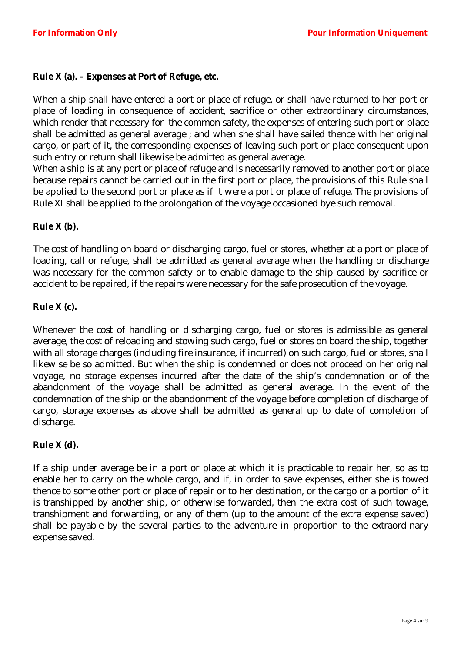## **Rule X (a). – Expenses at Port of Refuge, etc.**

When a ship shall have entered a port or place of refuge, or shall have returned to her port or place of loading in consequence of accident, sacrifice or other extraordinary circumstances, which render that necessary for the common safety, the expenses of entering such port or place shall be admitted as general average ; and when she shall have sailed thence with her original cargo, or part of it, the corresponding expenses of leaving such port or place consequent upon such entry or return shall likewise be admitted as general average.

When a ship is at any port or place of refuge and is necessarily removed to another port or place because repairs cannot be carried out in the first port or place, the provisions of this Rule shall be applied to the second port or place as if it were a port or place of refuge. The provisions of Rule XI shall be applied to the prolongation of the voyage occasioned bye such removal.

## **Rule X (b).**

The cost of handling on board or discharging cargo, fuel or stores, whether at a port or place of loading, call or refuge, shall be admitted as general average when the handling or discharge was necessary for the common safety or to enable damage to the ship caused by sacrifice or accident to be repaired, if the repairs were necessary for the safe prosecution of the voyage.

## **Rule X (c).**

Whenever the cost of handling or discharging cargo, fuel or stores is admissible as general average, the cost of reloading and stowing such cargo, fuel or stores on board the ship, together with all storage charges (including fire insurance, if incurred) on such cargo, fuel or stores, shall likewise be so admitted. But when the ship is condemned or does not proceed on her original voyage, no storage expenses incurred after the date of the ship's condemnation or of the abandonment of the voyage shall be admitted as general average. In the event of the condemnation of the ship or the abandonment of the voyage before completion of discharge of cargo, storage expenses as above shall be admitted as general up to date of completion of discharge.

# **Rule X (d).**

If a ship under average be in a port or place at which it is practicable to repair her, so as to enable her to carry on the whole cargo, and if, in order to save expenses, either she is towed thence to some other port or place of repair or to her destination, or the cargo or a portion of it is transhipped by another ship, or otherwise forwarded, then the extra cost of such towage, transhipment and forwarding, or any of them (up to the amount of the extra expense saved) shall be payable by the several parties to the adventure in proportion to the extraordinary expense saved.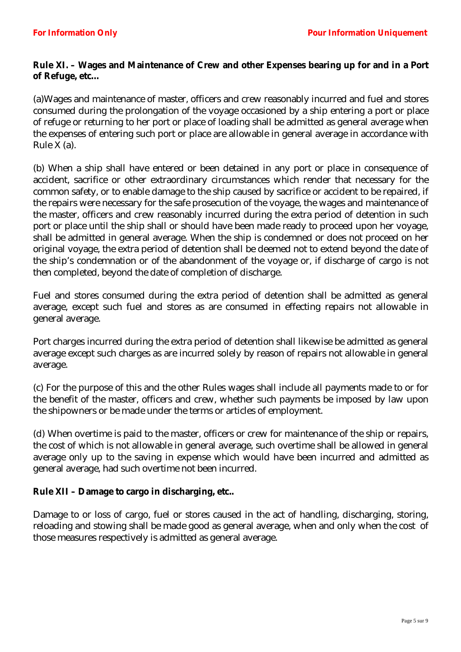# **Rule XI. – Wages and Maintenance of Crew and other Expenses bearing up for and in a Port of Refuge, etc…**

(a)Wages and maintenance of master, officers and crew reasonably incurred and fuel and stores consumed during the prolongation of the voyage occasioned by a ship entering a port or place of refuge or returning to her port or place of loading shall be admitted as general average when the expenses of entering such port or place are allowable in general average in accordance with Rule X (a).

(b) When a ship shall have entered or been detained in any port or place in consequence of accident, sacrifice or other extraordinary circumstances which render that necessary for the common safety, or to enable damage to the ship caused by sacrifice or accident to be repaired, if the repairs were necessary for the safe prosecution of the voyage, the wages and maintenance of the master, officers and crew reasonably incurred during the extra period of detention in such port or place until the ship shall or should have been made ready to proceed upon her voyage, shall be admitted in general average. When the ship is condemned or does not proceed on her original voyage, the extra period of detention shall be deemed not to extend beyond the date of the ship's condemnation or of the abandonment of the voyage or, if discharge of cargo is not then completed, beyond the date of completion of discharge.

Fuel and stores consumed during the extra period of detention shall be admitted as general average, except such fuel and stores as are consumed in effecting repairs not allowable in general average.

Port charges incurred during the extra period of detention shall likewise be admitted as general average except such charges as are incurred solely by reason of repairs not allowable in general average.

(c) For the purpose of this and the other Rules wages shall include all payments made to or for the benefit of the master, officers and crew, whether such payments be imposed by law upon the shipowners or be made under the terms or articles of employment.

(d) When overtime is paid to the master, officers or crew for maintenance of the ship or repairs, the cost of which is not allowable in general average, such overtime shall be allowed in general average only up to the saving in expense which would have been incurred and admitted as general average, had such overtime not been incurred.

# **Rule XII – Damage to cargo in discharging, etc..**

Damage to or loss of cargo, fuel or stores caused in the act of handling, discharging, storing, reloading and stowing shall be made good as general average, when and only when the cost of those measures respectively is admitted as general average.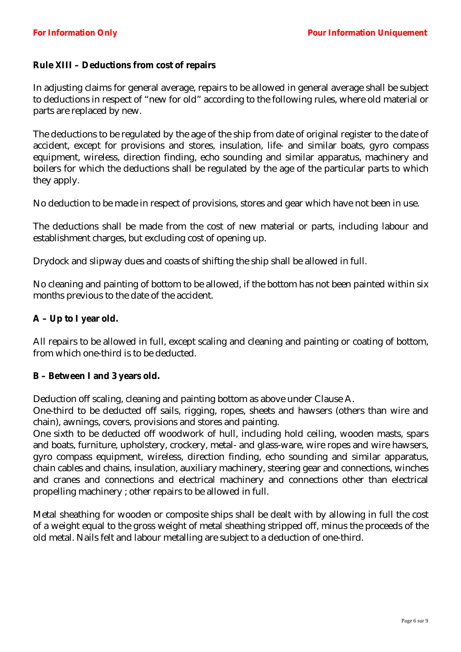## **Rule XIII – Deductions from cost of repairs**

In adjusting claims for general average, repairs to be allowed in general average shall be subject to deductions in respect of "new for old" according to the following rules, where old material or parts are replaced by new.

The deductions to be regulated by the age of the ship from date of original register to the date of accident, except for provisions and stores, insulation, life- and similar boats, gyro compass equipment, wireless, direction finding, echo sounding and similar apparatus, machinery and boilers for which the deductions shall be regulated by the age of the particular parts to which they apply.

No deduction to be made in respect of provisions, stores and gear which have not been in use.

The deductions shall be made from the cost of new material or parts, including labour and establishment charges, but excluding cost of opening up.

Drydock and slipway dues and coasts of shifting the ship shall be allowed in full.

No cleaning and painting of bottom to be allowed, if the bottom has not been painted within six months previous to the date of the accident.

## **A – Up to I year old.**

All repairs to be allowed in full, except scaling and cleaning and painting or coating of bottom, from which one-third is to be deducted.

## **B – Between I and 3 years old.**

Deduction off scaling, cleaning and painting bottom as above under Clause A.

One-third to be deducted off sails, rigging, ropes, sheets and hawsers (others than wire and chain), awnings, covers, provisions and stores and painting.

One sixth to be deducted off woodwork of hull, including hold ceiling, wooden masts, spars and boats, furniture, upholstery, crockery, metal- and glass-ware, wire ropes and wire hawsers, gyro compass equipment, wireless, direction finding, echo sounding and similar apparatus, chain cables and chains, insulation, auxiliary machinery, steering gear and connections, winches and cranes and connections and electrical machinery and connections other than electrical propelling machinery ; other repairs to be allowed in full.

Metal sheathing for wooden or composite ships shall be dealt with by allowing in full the cost of a weight equal to the gross weight of metal sheathing stripped off, minus the proceeds of the old metal. Nails felt and labour metalling are subject to a deduction of one-third.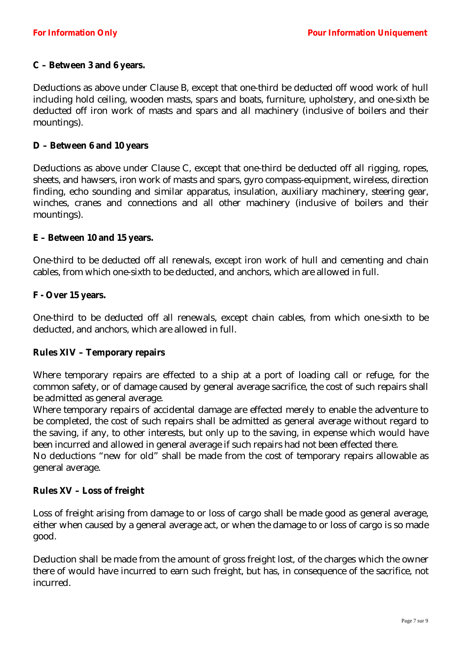## **C – Between 3 and 6 years.**

Deductions as above under Clause B, except that one-third be deducted off wood work of hull including hold ceiling, wooden masts, spars and boats, furniture, upholstery, and one-sixth be deducted off iron work of masts and spars and all machinery (inclusive of boilers and their mountings).

## **D – Between 6 and 10 years**

Deductions as above under Clause C, except that one-third be deducted off all rigging, ropes, sheets, and hawsers, iron work of masts and spars, gyro compass-equipment, wireless, direction finding, echo sounding and similar apparatus, insulation, auxiliary machinery, steering gear, winches, cranes and connections and all other machinery (inclusive of boilers and their mountings).

## **E – Between 10 and 15 years.**

One-third to be deducted off all renewals, except iron work of hull and cementing and chain cables, from which one-sixth to be deducted, and anchors, which are allowed in full.

## **F - Over 15 years.**

One-third to be deducted off all renewals, except chain cables, from which one-sixth to be deducted, and anchors, which are allowed in full.

## **Rules XIV – Temporary repairs**

Where temporary repairs are effected to a ship at a port of loading call or refuge, for the common safety, or of damage caused by general average sacrifice, the cost of such repairs shall be admitted as general average.

Where temporary repairs of accidental damage are effected merely to enable the adventure to be completed, the cost of such repairs shall be admitted as general average without regard to the saving, if any, to other interests, but only up to the saving, in expense which would have been incurred and allowed in general average if such repairs had not been effected there.

No deductions "new for old" shall be made from the cost of temporary repairs allowable as general average.

## **Rules XV – Loss of freight**

Loss of freight arising from damage to or loss of cargo shall be made good as general average, either when caused by a general average act, or when the damage to or loss of cargo is so made good.

Deduction shall be made from the amount of gross freight lost, of the charges which the owner there of would have incurred to earn such freight, but has, in consequence of the sacrifice, not incurred.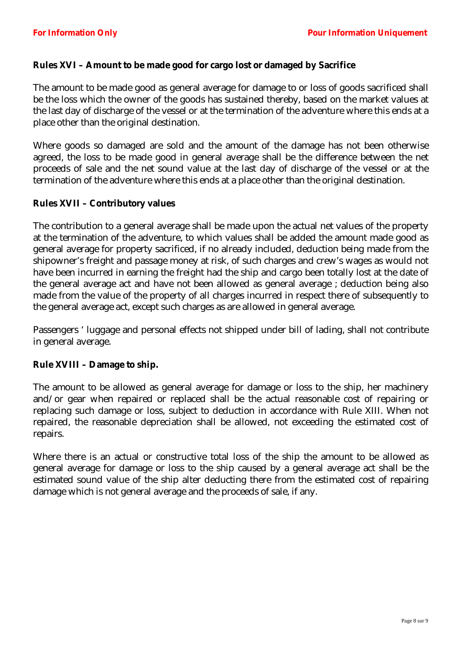## **Rules XVI – Amount to be made good for cargo lost or damaged by Sacrifice**

The amount to be made good as general average for damage to or loss of goods sacrificed shall be the loss which the owner of the goods has sustained thereby, based on the market values at the last day of discharge of the vessel or at the termination of the adventure where this ends at a place other than the original destination.

Where goods so damaged are sold and the amount of the damage has not been otherwise agreed, the loss to be made good in general average shall be the difference between the net proceeds of sale and the net sound value at the last day of discharge of the vessel or at the termination of the adventure where this ends at a place other than the original destination.

## **Rules XVII – Contributory values**

The contribution to a general average shall be made upon the actual net values of the property at the termination of the adventure, to which values shall be added the amount made good as general average for property sacrificed, if no already included, deduction being made from the shipowner's freight and passage money at risk, of such charges and crew's wages as would not have been incurred in earning the freight had the ship and cargo been totally lost at the date of the general average act and have not been allowed as general average ; deduction being also made from the value of the property of all charges incurred in respect there of subsequently to the general average act, except such charges as are allowed in general average.

Passengers ' luggage and personal effects not shipped under bill of lading, shall not contribute in general average.

# **Rule XVIII – Damage to ship.**

The amount to be allowed as general average for damage or loss to the ship, her machinery and/or gear when repaired or replaced shall be the actual reasonable cost of repairing or replacing such damage or loss, subject to deduction in accordance with Rule XIII. When not repaired, the reasonable depreciation shall be allowed, not exceeding the estimated cost of repairs.

Where there is an actual or constructive total loss of the ship the amount to be allowed as general average for damage or loss to the ship caused by a general average act shall be the estimated sound value of the ship alter deducting there from the estimated cost of repairing damage which is not general average and the proceeds of sale, if any.